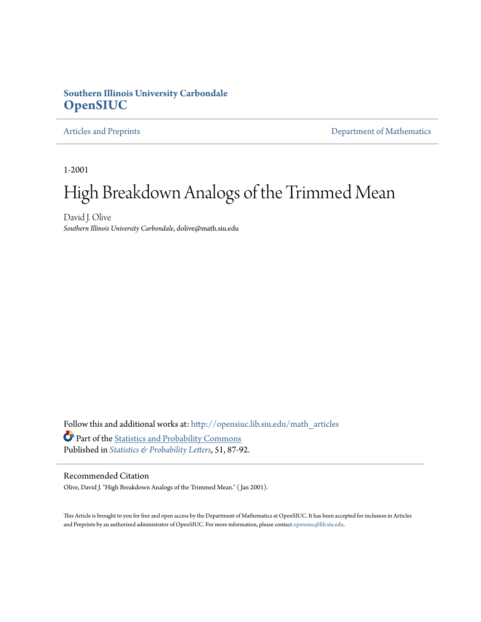## **Southern Illinois University Carbondale [OpenSIUC](http://opensiuc.lib.siu.edu?utm_source=opensiuc.lib.siu.edu%2Fmath_articles%2F5&utm_medium=PDF&utm_campaign=PDFCoverPages)**

[Articles and Preprints](http://opensiuc.lib.siu.edu/math_articles?utm_source=opensiuc.lib.siu.edu%2Fmath_articles%2F5&utm_medium=PDF&utm_campaign=PDFCoverPages) **[Department of Mathematics](http://opensiuc.lib.siu.edu/math?utm_source=opensiuc.lib.siu.edu%2Fmath_articles%2F5&utm_medium=PDF&utm_campaign=PDFCoverPages)** 

1-2001

# High Breakdown Analogs of the Trimmed Mean

David J. Olive *Southern Illinois University Carbondale*, dolive@math.siu.edu

Follow this and additional works at: [http://opensiuc.lib.siu.edu/math\\_articles](http://opensiuc.lib.siu.edu/math_articles?utm_source=opensiuc.lib.siu.edu%2Fmath_articles%2F5&utm_medium=PDF&utm_campaign=PDFCoverPages) Part of the [Statistics and Probability Commons](http://network.bepress.com/hgg/discipline/208?utm_source=opensiuc.lib.siu.edu%2Fmath_articles%2F5&utm_medium=PDF&utm_campaign=PDFCoverPages) Published in *[Statistics & Probability Letters](http://www.elsevier.com/wps/find/journaldescription.cws_home/505573/description#description)*, 51, 87-92.

#### Recommended Citation

Olive, David J. "High Breakdown Analogs of the Trimmed Mean." ( Jan 2001).

This Article is brought to you for free and open access by the Department of Mathematics at OpenSIUC. It has been accepted for inclusion in Articles and Preprints by an authorized administrator of OpenSIUC. For more information, please contact [opensiuc@lib.siu.edu](mailto:opensiuc@lib.siu.edu).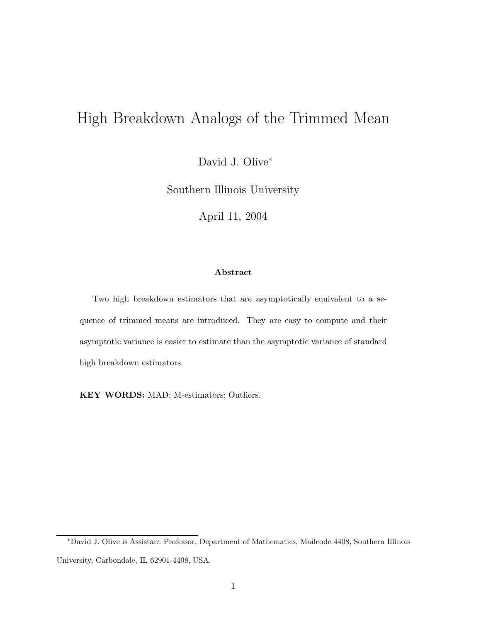# High Breakdown Analogs of the Trimmed Mean

David J. Olive<sup>∗</sup>

Southern Illinois University

April 11, 2004

### **Abstract**

Two high breakdown estimators that are asymptotically equivalent to a sequence of trimmed means are introduced. They are easy to compute and their asymptotic variance is easier to estimate than the asymptotic variance of standard high breakdown estimators.

**KEY WORDS:** MAD; M-estimators; Outliers.

<sup>∗</sup>David J. Olive is Assistant Professor, Department of Mathematics, Mailcode 4408, Southern Illinois University, Carbondale, IL 62901-4408, USA.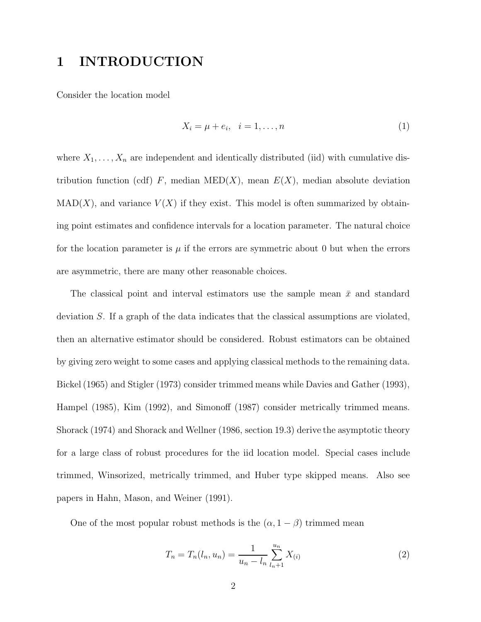# **1 INTRODUCTION**

Consider the location model

$$
X_i = \mu + e_i, \quad i = 1, \dots, n \tag{1}
$$

where  $X_1, \ldots, X_n$  are independent and identically distributed (iid) with cumulative distribution function (cdf)  $F$ , median MED( $X$ ), mean  $E(X)$ , median absolute deviation  $MAD(X)$ , and variance  $V(X)$  if they exist. This model is often summarized by obtaining point estimates and confidence intervals for a location parameter. The natural choice for the location parameter is  $\mu$  if the errors are symmetric about 0 but when the errors are asymmetric, there are many other reasonable choices.

The classical point and interval estimators use the sample mean  $\bar{x}$  and standard deviation *S*. If a graph of the data indicates that the classical assumptions are violated, then an alternative estimator should be considered. Robust estimators can be obtained by giving zero weight to some cases and applying classical methods to the remaining data. Bickel (1965) and Stigler (1973) consider trimmed means while Davies and Gather (1993), Hampel (1985), Kim (1992), and Simonoff (1987) consider metrically trimmed means. Shorack (1974) and Shorack and Wellner (1986, section 19.3) derive the asymptotic theory for a large class of robust procedures for the iid location model. Special cases include trimmed, Winsorized, metrically trimmed, and Huber type skipped means. Also see papers in Hahn, Mason, and Weiner (1991).

One of the most popular robust methods is the  $(\alpha, 1 - \beta)$  trimmed mean

$$
T_n = T_n(l_n, u_n) = \frac{1}{u_n - l_n} \sum_{l_n+1}^{u_n} X_{(i)}
$$
\n(2)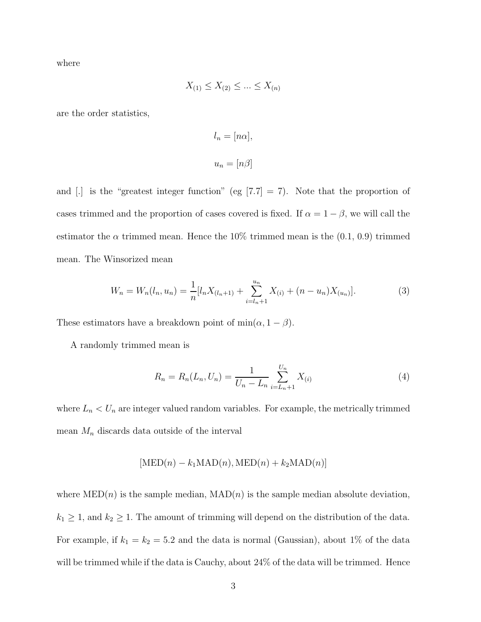where

$$
X_{(1)} \le X_{(2)} \le \dots \le X_{(n)}
$$

are the order statistics,

$$
l_n = [n\alpha],
$$
  

$$
u_n = [n\beta]
$$

and [.] is the "greatest integer function" (eg [7.7] = 7). Note that the proportion of cases trimmed and the proportion of cases covered is fixed. If  $\alpha = 1 - \beta$ , we will call the estimator the  $\alpha$  trimmed mean. Hence the 10% trimmed mean is the  $(0.1, 0.9)$  trimmed mean. The Winsorized mean

$$
W_n = W_n(l_n, u_n) = \frac{1}{n} [l_n X_{(l_n+1)} + \sum_{i=l_n+1}^{u_n} X_{(i)} + (n - u_n) X_{(u_n)}].
$$
\n(3)

These estimators have a breakdown point of  $\min(\alpha, 1 - \beta)$ .

A randomly trimmed mean is

$$
R_n = R_n(L_n, U_n) = \frac{1}{U_n - L_n} \sum_{i=L_n+1}^{U_n} X_{(i)}
$$
(4)

where  $L_n < U_n$  are integer valued random variables. For example, the metrically trimmed mean *M<sup>n</sup>* discards data outside of the interval

$$
[MED(n) - k_1MAD(n), MED(n) + k_2MAD(n)]
$$

where  $\text{MED}(n)$  is the sample median,  $\text{MAD}(n)$  is the sample median absolute deviation,  $k_1 \geq 1$ , and  $k_2 \geq 1$ . The amount of trimming will depend on the distribution of the data. For example, if  $k_1 = k_2 = 5.2$  and the data is normal (Gaussian), about 1% of the data will be trimmed while if the data is Cauchy, about 24% of the data will be trimmed. Hence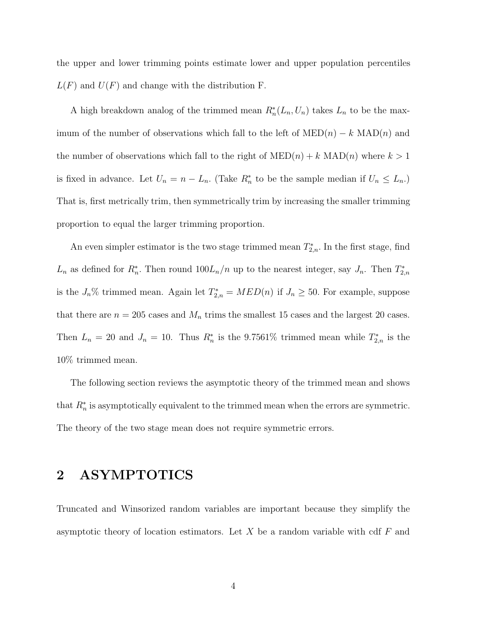the upper and lower trimming points estimate lower and upper population percentiles  $L(F)$  and  $U(F)$  and change with the distribution F.

A high breakdown analog of the trimmed mean  $R_n^*(L_n, U_n)$  takes  $L_n$  to be the maximum of the number of observations which fall to the left of  $\text{MED}(n) - k \text{ MAD}(n)$  and the number of observations which fall to the right of  $\text{MED}(n) + k \text{ MAD}(n)$  where  $k > 1$ is fixed in advance. Let  $U_n = n - L_n$ . (Take  $R_n^*$  to be the sample median if  $U_n \leq L_n$ .) That is, first metrically trim, then symmetrically trim by increasing the smaller trimming proportion to equal the larger trimming proportion.

An even simpler estimator is the two stage trimmed mean  $T_{2,n}^*$ . In the first stage, find *L*<sup>*n*</sup> as defined for  $R_n^*$ . Then round  $100L_n/n$  up to the nearest integer, say *J<sub>n</sub>*. Then  $T_{2,n}^*$ is the  $J_n\%$  trimmed mean. Again let  $T_{2,n}^* = MED(n)$  if  $J_n \geq 50$ . For example, suppose that there are  $n = 205$  cases and  $M_n$  trims the smallest 15 cases and the largest 20 cases. Then  $L_n = 20$  and  $J_n = 10$ . Thus  $R_n^*$  is the 9.7561% trimmed mean while  $T_{2,n}^*$  is the 10% trimmed mean.

The following section reviews the asymptotic theory of the trimmed mean and shows that  $R_n^*$  is asymptotically equivalent to the trimmed mean when the errors are symmetric. The theory of the two stage mean does not require symmetric errors.

## **2 ASYMPTOTICS**

Truncated and Winsorized random variables are important because they simplify the asymptotic theory of location estimators. Let *X* be a random variable with cdf *F* and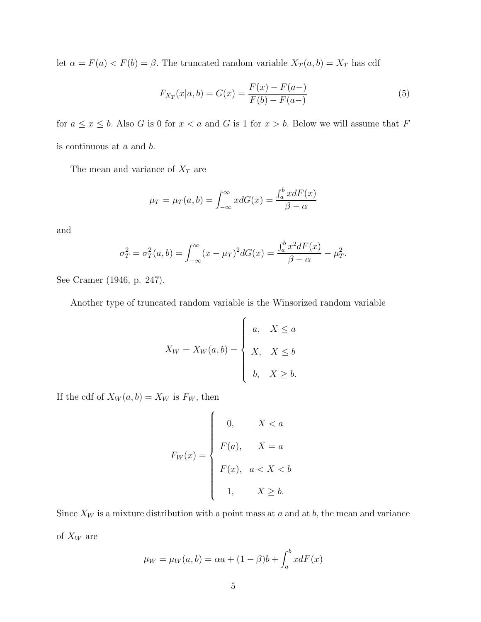let  $\alpha = F(a) < F(b) = \beta$ . The truncated random variable  $X_T(a, b) = X_T$  has cdf

$$
F_{X_T}(x|a,b) = G(x) = \frac{F(x) - F(a-)}{F(b) - F(a-)}\tag{5}
$$

for  $a \leq x \leq b$ . Also *G* is 0 for  $x < a$  and *G* is 1 for  $x > b$ . Below we will assume that *F* is continuous at *a* and *b*.

The mean and variance of  $X_T$  are

$$
\mu_T = \mu_T(a, b) = \int_{-\infty}^{\infty} x dG(x) = \frac{\int_a^b x dF(x)}{\beta - \alpha}
$$

and

$$
\sigma_T^2 = \sigma_T^2(a, b) = \int_{-\infty}^{\infty} (x - \mu_T)^2 dG(x) = \frac{\int_a^b x^2 dF(x)}{\beta - \alpha} - \mu_T^2.
$$

See Cramer (1946, p. 247).

Another type of truncated random variable is the Winsorized random variable

$$
X_W = X_W(a, b) = \begin{cases} a, & X \le a \\ X, & X \le b \\ b, & X \ge b. \end{cases}
$$

If the cdf of  $X_W(a, b) = X_W$  is  $F_W$ , then

$$
F_W(x) = \begin{cases} 0, & X < a \\ F(a), & X = a \\ F(x), & a < X < b \\ 1, & X \ge b. \end{cases}
$$

Since  $X_W$  is a mixture distribution with a point mass at  $a$  and at  $b$ , the mean and variance of *X<sup>W</sup>* are

$$
\mu_W = \mu_W(a, b) = \alpha a + (1 - \beta)b + \int_a^b x dF(x)
$$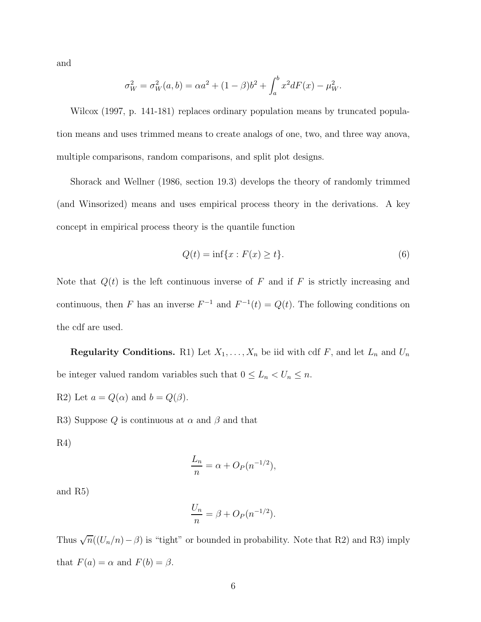and

$$
\sigma_W^2 = \sigma_W^2(a, b) = \alpha a^2 + (1 - \beta)b^2 + \int_a^b x^2 dF(x) - \mu_W^2.
$$

Wilcox (1997, p. 141-181) replaces ordinary population means by truncated population means and uses trimmed means to create analogs of one, two, and three way anova, multiple comparisons, random comparisons, and split plot designs.

Shorack and Wellner (1986, section 19.3) develops the theory of randomly trimmed (and Winsorized) means and uses empirical process theory in the derivations. A key concept in empirical process theory is the quantile function

$$
Q(t) = \inf\{x : F(x) \ge t\}.
$$
\n<sup>(6)</sup>

Note that *Q*(*t*) is the left continuous inverse of *F* and if *F* is strictly increasing and continuous, then *F* has an inverse  $F^{-1}$  and  $F^{-1}(t) = Q(t)$ . The following conditions on the cdf are used.

**Regularity Conditions.** R1) Let  $X_1, \ldots, X_n$  be iid with cdf  $F$ , and let  $L_n$  and  $U_n$ be integer valued random variables such that  $0 \leq L_n < U_n \leq n$ .

R2) Let  $a = Q(\alpha)$  and  $b = Q(\beta)$ .

R3) Suppose  $Q$  is continuous at  $\alpha$  and  $\beta$  and that

R4)

$$
\frac{L_n}{n} = \alpha + O_P(n^{-1/2}),
$$

and R5)

$$
\frac{U_n}{n} = \beta + O_P(n^{-1/2}).
$$

Thus  $\sqrt{n}((U_n/n)-\beta)$  is "tight" or bounded in probability. Note that R2) and R3) imply that  $F(a) = \alpha$  and  $F(b) = \beta$ .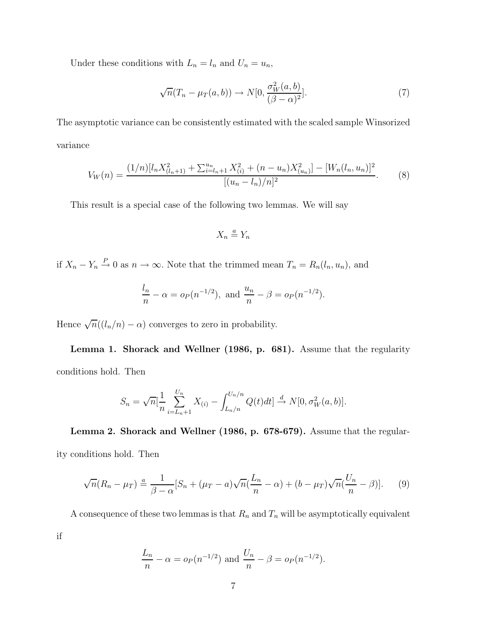Under these conditions with  $L_n = l_n$  and  $U_n = u_n$ ,

$$
\sqrt{n}(T_n - \mu_T(a, b)) \to N[0, \frac{\sigma_W^2(a, b)}{(\beta - \alpha)^2}].
$$
\n(7)

The asymptotic variance can be consistently estimated with the scaled sample Winsorized variance

$$
V_W(n) = \frac{(1/n)[l_n X_{(l_n+1)}^2 + \sum_{i=l_n+1}^{u_n} X_{(i)}^2 + (n - u_n)X_{(u_n)}^2] - [W_n(l_n, u_n)]^2}{[(u_n - l_n)/n]^2}.
$$
 (8)

This result is a special case of the following two lemmas. We will say

$$
X_n \stackrel{a}{=} Y_n
$$

if  $X_n - Y_n \overset{P}{\to} 0$  as  $n \to \infty$ . Note that the trimmed mean  $T_n = R_n(l_n, u_n)$ , and

$$
rac{l_n}{n} - \alpha = o_P(n^{-1/2}),
$$
 and  $rac{u_n}{n} - \beta = o_P(n^{-1/2}).$ 

Hence  $\sqrt{n}((l_n/n) - \alpha)$  converges to zero in probability.

**Lemma 1. Shorack and Wellner (1986, p. 681).** Assume that the regularity conditions hold. Then

$$
S_n = \sqrt{n} \left[ \frac{1}{n} \sum_{i=L_n+1}^{U_n} X_{(i)} - \int_{L_n/n}^{U_n/n} Q(t) dt \right] \stackrel{d}{\to} N[0, \sigma_W^2(a, b)].
$$

**Lemma 2. Shorack and Wellner (1986, p. 678-679).** Assume that the regularity conditions hold. Then

$$
\sqrt{n}(R_n - \mu_T) \stackrel{a}{=} \frac{1}{\beta - \alpha} [S_n + (\mu_T - a)\sqrt{n}(\frac{L_n}{n} - \alpha) + (b - \mu_T)\sqrt{n}(\frac{U_n}{n} - \beta)].
$$
 (9)

A consequence of these two lemmas is that  $R_n$  and  $T_n$  will be asymptotically equivalent

if

$$
\frac{L_n}{n} - \alpha = o_P(n^{-1/2})
$$
 and  $\frac{U_n}{n} - \beta = o_P(n^{-1/2}).$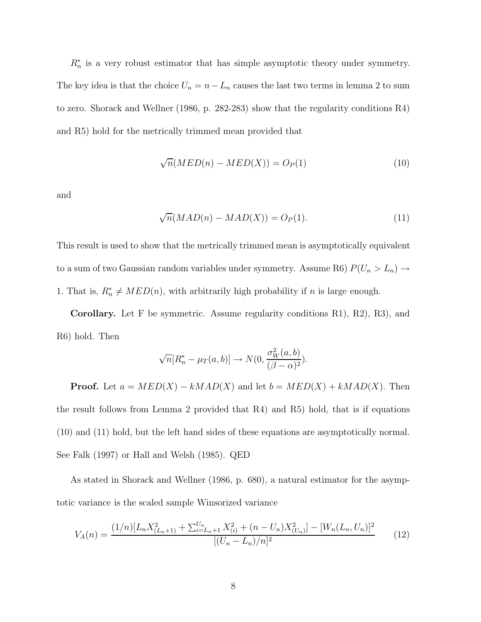$R_n^*$  is a very robust estimator that has simple asymptotic theory under symmetry. The key idea is that the choice  $U_n = n - L_n$  causes the last two terms in lemma 2 to sum to zero. Shorack and Wellner (1986, p. 282-283) show that the regularity conditions R4) and R5) hold for the metrically trimmed mean provided that

$$
\sqrt{n}(MED(n) - MED(X)) = O_P(1)
$$
\n(10)

and

$$
\sqrt{n}(MAD(n) - MAD(X)) = O_P(1). \tag{11}
$$

This result is used to show that the metrically trimmed mean is asymptotically equivalent to a sum of two Gaussian random variables under symmetry. Assume R6)  $P(U_n > L_n) \rightarrow$ 1. That is,  $R_n^* \neq MED(n)$ , with arbitrarily high probability if *n* is large enough.

**Corollary.** Let F be symmetric. Assume regularity conditions R1), R2), R3), and R6) hold. Then

$$
\sqrt{n}[R_n^* - \mu_T(a, b)] \to N(0, \frac{\sigma_W^2(a, b)}{(\beta - \alpha)^2}).
$$

**Proof.** Let  $a = MED(X) - kMAD(X)$  and let  $b = MED(X) + kMAD(X)$ . Then the result follows from Lemma 2 provided that R4) and R5) hold, that is if equations (10) and (11) hold, but the left hand sides of these equations are asymptotically normal. See Falk (1997) or Hall and Welsh (1985). QED

As stated in Shorack and Wellner (1986, p. 680), a natural estimator for the asymptotic variance is the scaled sample Winsorized variance

$$
V_A(n) = \frac{(1/n)[L_n X_{(L_n+1)}^2 + \sum_{i=L_n+1}^{U_n} X_{(i)}^2 + (n - U_n)X_{(U_n)}^2] - [W_n(L_n, U_n)]^2}{[(U_n - L_n)/n]^2}
$$
(12)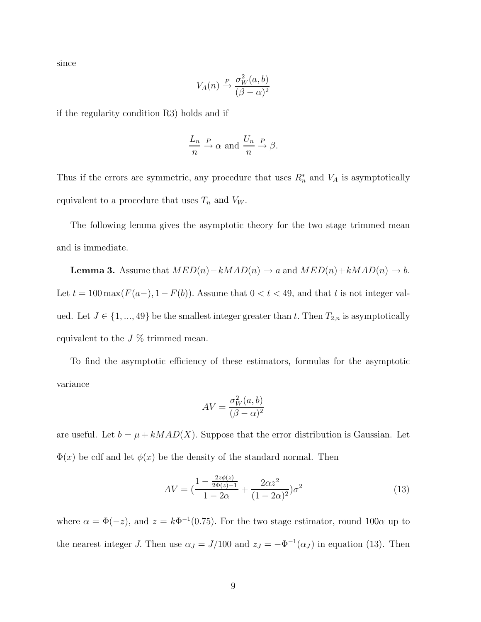since

$$
V_A(n) \xrightarrow{P} \frac{\sigma_W^2(a, b)}{(\beta - \alpha)^2}
$$

if the regularity condition R3) holds and if

$$
\frac{L_n}{n} \xrightarrow{P} \alpha \text{ and } \frac{U_n}{n} \xrightarrow{P} \beta.
$$

Thus if the errors are symmetric, any procedure that uses  $R_n^*$  and  $V_A$  is asymptotically equivalent to a procedure that uses  $T_n$  and  $V_W$ .

The following lemma gives the asymptotic theory for the two stage trimmed mean and is immediate.

**Lemma 3.** Assume that  $MED(n)-kMAD(n) \rightarrow a$  and  $MED(n)+kMAD(n) \rightarrow b$ . Let  $t = 100 \max(F(a-), 1 - F(b))$ . Assume that  $0 < t < 49$ , and that  $t$  is not integer valued. Let  $J \in \{1, ..., 49\}$  be the smallest integer greater than  $t$ . Then  $T_{2,n}$  is asymptotically equivalent to the  $J\%$  trimmed mean.

To find the asymptotic efficiency of these estimators, formulas for the asymptotic variance

$$
AV = \frac{\sigma_W^2(a, b)}{(\beta - \alpha)^2}
$$

are useful. Let  $b = \mu + kMAD(X)$ . Suppose that the error distribution is Gaussian. Let  $\Phi(x)$  be cdf and let  $\phi(x)$  be the density of the standard normal. Then

$$
AV = \left(\frac{1 - \frac{2z\phi(z)}{2\Phi(z) - 1}}{1 - 2\alpha} + \frac{2\alpha z^2}{(1 - 2\alpha)^2}\right)\sigma^2\tag{13}
$$

where  $\alpha = \Phi(-z)$ , and  $z = k\Phi^{-1}(0.75)$ . For the two stage estimator, round 100 $\alpha$  up to the nearest integer *J*. Then use  $\alpha_J = J/100$  and  $z_J = -\Phi^{-1}(\alpha_J)$  in equation (13). Then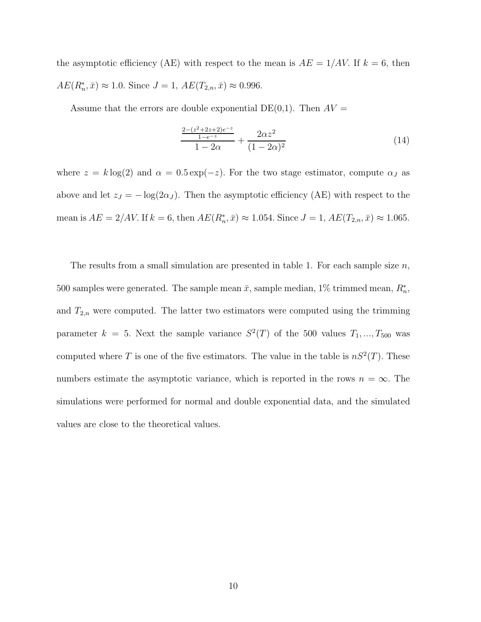the asymptotic efficiency (AE) with respect to the mean is  $AE = 1/AV$ . If  $k = 6$ , then  $AE(R_n^*, \bar{x}) \approx 1.0$ *.* Since  $J = 1$ ,  $AE(T_{2,n}, \bar{x}) \approx 0.996$ .

Assume that the errors are double exponential  $DE(0,1)$ . Then  $AV =$ 

$$
\frac{\frac{2-(z^2+2z+2)e^{-z}}{1-e^{-z}}}{1-2\alpha} + \frac{2\alpha z^2}{(1-2\alpha)^2}
$$
(14)

where  $z = k \log(2)$  and  $\alpha = 0.5 \exp(-z)$ . For the two stage estimator, compute  $\alpha_J$  as above and let  $z_J = -\log(2\alpha_J)$ . Then the asymptotic efficiency (AE) with respect to the mean is  $AE = 2/AV$ . If  $k = 6$ , then  $AE(R_n^*, \bar{x}) \approx 1.054$ . Since  $J = 1, AE(T_{2,n}, \bar{x}) \approx 1.065$ .

The results from a small simulation are presented in table 1. For each sample size *n*, 500 samples were generated. The sample mean  $\bar{x}$ , sample median, 1% trimmed mean,  $R_n^*$ , and  $T_{2,n}$  were computed. The latter two estimators were computed using the trimming parameter  $k = 5$ . Next the sample variance  $S^2(T)$  of the 500 values  $T_1, ..., T_{500}$  was computed where *T* is one of the five estimators. The value in the table is  $nS^2(T)$ . These numbers estimate the asymptotic variance, which is reported in the rows  $n = \infty$ . The simulations were performed for normal and double exponential data, and the simulated values are close to the theoretical values.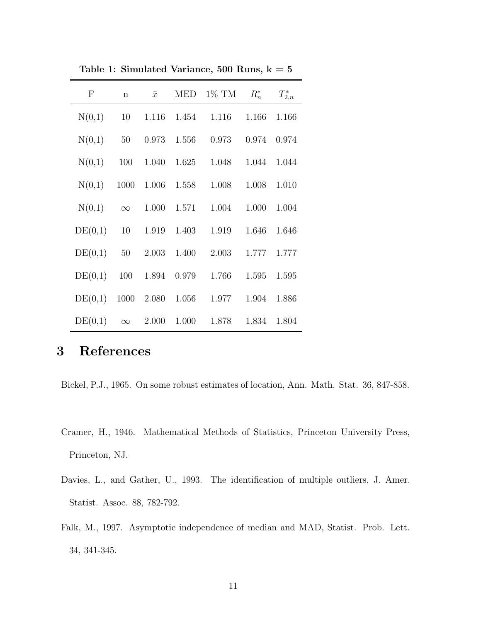| $\mathbf{F}$ | $\mathbf n$ | $\bar{x}$ | <b>MED</b> | $1\%$ TM | $R_n^*$ | $T_{2,n}^*$ |
|--------------|-------------|-----------|------------|----------|---------|-------------|
| N(0,1)       | 10          | 1.116     | 1.454      | 1.116    | 1.166   | 1.166       |
| N(0,1)       | 50          | 0.973     | 1.556      | 0.973    | 0.974   | 0.974       |
| N(0,1)       | 100         | 1.040     | 1.625      | 1.048    | 1.044   | 1.044       |
| N(0,1)       | 1000        | 1.006     | 1.558      | 1.008    | 1.008   | 1.010       |
| N(0,1)       | $\infty$    | 1.000     | 1.571      | 1.004    | 1.000   | 1.004       |
| DE(0,1)      | 10          | 1.919     | 1.403      | 1.919    | 1.646   | 1.646       |
| DE(0,1)      | 50          | 2.003     | 1.400      | 2.003    | 1.777   | 1.777       |
| DE(0,1)      | 100         | 1.894     | 0.979      | 1.766    | 1.595   | 1.595       |
| DE(0,1)      | 1000        | 2.080     | 1.056      | 1.977    | 1.904   | 1.886       |
| DE(0,1)      | $\infty$    | 2.000     | 1.000      | 1.878    | 1.834   | 1.804       |

**Table 1: Simulated Variance, 500 Runs, k = 5**

# **3 References**

Bickel, P.J., 1965. On some robust estimates of location, Ann. Math. Stat. 36, 847-858.

- Cramer, H., 1946. Mathematical Methods of Statistics, Princeton University Press, Princeton, NJ.
- Davies, L., and Gather, U., 1993. The identification of multiple outliers, J. Amer. Statist. Assoc. 88, 782-792.
- Falk, M., 1997. Asymptotic independence of median and MAD, Statist. Prob. Lett. 34, 341-345.